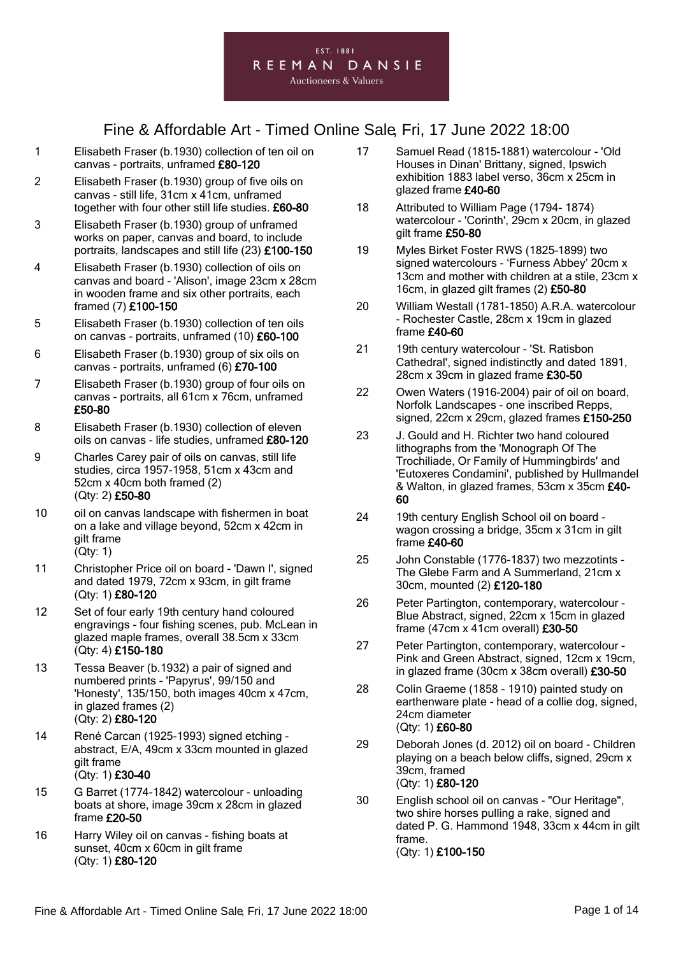### EST. 1881 REEMAN DANSIE

#### **Auctioneers & Valuers**

- 1 Elisabeth Fraser (b.1930) collection of ten oil on canvas - portraits, unframed £80-120
- 2 Elisabeth Fraser (b.1930) group of five oils on canvas - still life, 31cm x 41cm, unframed together with four other still life studies. £60-80
- 3 Elisabeth Fraser (b.1930) group of unframed works on paper, canvas and board, to include portraits, landscapes and still life (23) £100-150
- 4 Elisabeth Fraser (b.1930) collection of oils on canvas and board - 'Alison', image 23cm x 28cm in wooden frame and six other portraits, each framed (7) £100-150
- 5 Elisabeth Fraser (b.1930) collection of ten oils on canvas - portraits, unframed (10) £60-100
- 6 Elisabeth Fraser (b.1930) group of six oils on canvas - portraits, unframed (6) £70-100
- 7 Elisabeth Fraser (b.1930) group of four oils on canvas - portraits, all 61cm x 76cm, unframed £50-80
- 8 Elisabeth Fraser (b.1930) collection of eleven oils on canvas - life studies, unframed £80-120
- 9 Charles Carey pair of oils on canvas, still life studies, circa 1957-1958, 51cm x 43cm and 52cm x 40cm both framed (2) (Qty: 2) £50-80
- 10 oil on canvas landscape with fishermen in boat on a lake and village beyond, 52cm x 42cm in gilt frame (Qty: 1)
- 11 Christopher Price oil on board 'Dawn I', signed and dated 1979, 72cm x 93cm, in gilt frame (Qty: 1) £80-120
- 12 Set of four early 19th century hand coloured engravings - four fishing scenes, pub. McLean in glazed maple frames, overall 38.5cm x 33cm (Qty: 4) £150-180
- 13 Tessa Beaver (b.1932) a pair of signed and numbered prints - 'Papyrus', 99/150 and 'Honesty', 135/150, both images 40cm x 47cm, in glazed frames (2) (Qty: 2) £80-120
- 14 René Carcan (1925-1993) signed etching abstract, E/A, 49cm x 33cm mounted in glazed gilt frame (Qty: 1) £30-40
- 15 G Barret (1774-1842) watercolour unloading boats at shore, image 39cm x 28cm in glazed frame £20-50
- 16 Harry Wiley oil on canvas fishing boats at sunset, 40cm x 60cm in gilt frame (Qty: 1) £80-120
- 17 Samuel Read (1815-1881) watercolour 'Old Houses in Dinan' Brittany, signed, Ipswich exhibition 1883 label verso, 36cm x 25cm in glazed frame £40-60
- 18 Attributed to William Page (1794- 1874) watercolour - 'Corinth', 29cm x 20cm, in glazed gilt frame £50-80
- 19 Myles Birket Foster RWS (1825–1899) two signed watercolours - 'Furness Abbey' 20cm x 13cm and mother with children at a stile, 23cm x 16cm, in glazed gilt frames (2) £50-80
- 20 William Westall (1781-1850) A.R.A. watercolour - Rochester Castle, 28cm x 19cm in glazed frame £40-60
- 21 19th century watercolour 'St. Ratisbon Cathedral', signed indistinctly and dated 1891, 28cm x 39cm in glazed frame £30-50
- 22 Owen Waters (1916-2004) pair of oil on board, Norfolk Landscapes - one inscribed Repps, signed, 22cm x 29cm, glazed frames £150-250
- 23 J. Gould and H. Richter two hand coloured lithographs from the 'Monograph Of The Trochiliade, Or Family of Hummingbirds' and 'Eutoxeres Condamini', published by Hullmandel & Walton, in glazed frames, 53cm x 35cm £40- 60
- 24 19th century English School oil on board wagon crossing a bridge, 35cm x 31cm in gilt frame £40-60
- 25 John Constable (1776-1837) two mezzotints The Glebe Farm and A Summerland, 21cm x 30cm, mounted (2) £120-180
- 26 Peter Partington, contemporary, watercolour Blue Abstract, signed, 22cm x 15cm in glazed frame (47cm x 41cm overall) £30-50
- 27 Peter Partington, contemporary, watercolour Pink and Green Abstract, signed, 12cm x 19cm, in glazed frame (30cm x 38cm overall) £30-50
- 28 Colin Graeme (1858 1910) painted study on earthenware plate - head of a collie dog, signed, 24cm diameter (Qty: 1) £60-80
- 29 Deborah Jones (d. 2012) oil on board Children playing on a beach below cliffs, signed, 29cm x 39cm, framed (Qty: 1) £80-120
- 30 English school oil on canvas "Our Heritage", two shire horses pulling a rake, signed and dated P. G. Hammond 1948, 33cm x 44cm in gilt frame. (Qty: 1) £100-150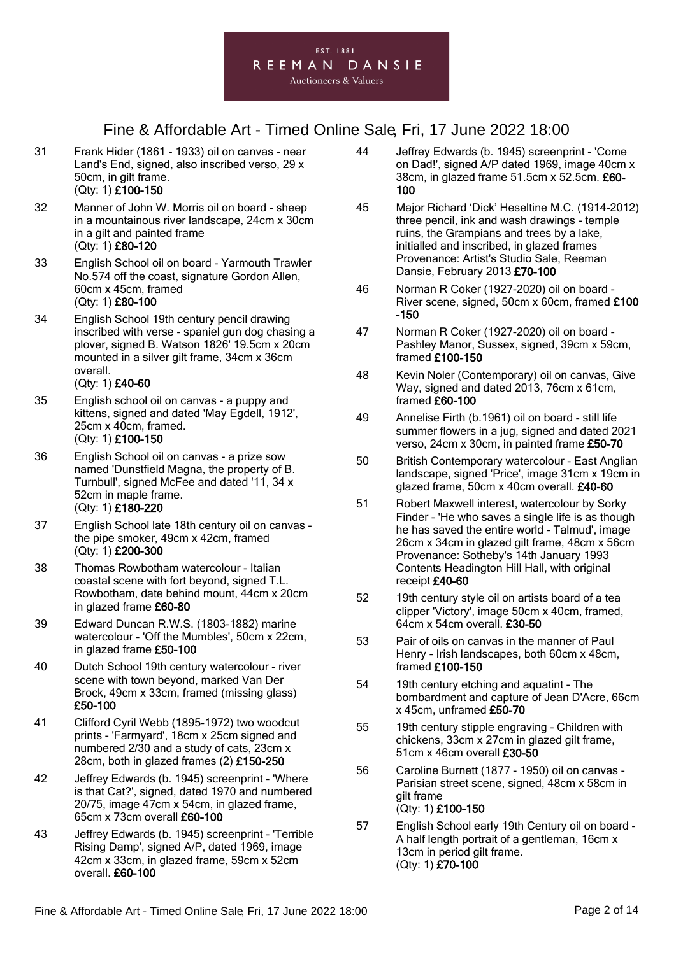- 31 Frank Hider (1861 1933) oil on canvas near Land's End, signed, also inscribed verso, 29 x 50cm, in gilt frame. (Qty: 1) £100-150
- 32 Manner of John W. Morris oil on board sheep in a mountainous river landscape, 24cm x 30cm in a gilt and painted frame (Qty: 1) £80-120
- 33 English School oil on board Yarmouth Trawler No.574 off the coast, signature Gordon Allen, 60cm x 45cm, framed (Qty: 1) £80-100
- 34 English School 19th century pencil drawing inscribed with verse - spaniel gun dog chasing a plover, signed B. Watson 1826' 19.5cm x 20cm mounted in a silver gilt frame, 34cm x 36cm overall.
	- (Qty: 1) £40-60
- 35 English school oil on canvas a puppy and kittens, signed and dated 'May Egdell, 1912', 25cm x 40cm, framed. (Qty: 1) £100-150
- 36 English School oil on canvas a prize sow named 'Dunstfield Magna, the property of B. Turnbull', signed McFee and dated '11, 34 x 52cm in maple frame. (Qty: 1) £180-220
- 37 English School late 18th century oil on canvas the pipe smoker, 49cm x 42cm, framed (Qty: 1) £200-300
- 38 Thomas Rowbotham watercolour Italian coastal scene with fort beyond, signed T.L. Rowbotham, date behind mount, 44cm x 20cm in glazed frame £60-80
- 39 Edward Duncan R.W.S. (1803-1882) marine watercolour - 'Off the Mumbles', 50cm x 22cm, in glazed frame £50-100
- 40 Dutch School 19th century watercolour river scene with town beyond, marked Van Der Brock, 49cm x 33cm, framed (missing glass) £50-100
- 41 Clifford Cyril Webb (1895-1972) two woodcut prints - 'Farmyard', 18cm x 25cm signed and numbered 2/30 and a study of cats, 23cm x 28cm, both in glazed frames (2) £150-250
- 42 Jeffrey Edwards (b. 1945) screenprint 'Where is that Cat?', signed, dated 1970 and numbered 20/75, image 47cm x 54cm, in glazed frame, 65cm x 73cm overall £60-100
- 43 Jeffrey Edwards (b. 1945) screenprint 'Terrible Rising Damp', signed A/P, dated 1969, image 42cm x 33cm, in glazed frame, 59cm x 52cm overall. £60-100
- 44 Jeffrey Edwards (b. 1945) screenprint 'Come on Dad!', signed A/P dated 1969, image 40cm x 38cm, in glazed frame 51.5cm x 52.5cm. £60- 100
- 45 Major Richard 'Dick' Heseltine M.C. (1914-2012) three pencil, ink and wash drawings - temple ruins, the Grampians and trees by a lake, initialled and inscribed, in glazed frames Provenance: Artist's Studio Sale, Reeman Dansie, February 2013 £70-100
- 46 Norman R Coker (1927-2020) oil on board River scene, signed, 50cm x 60cm, framed £100 -150
- 47 Norman R Coker (1927-2020) oil on board Pashley Manor, Sussex, signed, 39cm x 59cm, framed £100-150
- 48 Kevin Noler (Contemporary) oil on canvas, Give Way, signed and dated 2013, 76cm x 61cm, framed £60-100
- 49 Annelise Firth (b.1961) oil on board still life summer flowers in a jug, signed and dated 2021 verso, 24cm x 30cm, in painted frame £50-70
- 50 British Contemporary watercolour East Anglian landscape, signed 'Price', image 31cm x 19cm in glazed frame, 50cm x 40cm overall. £40-60
- 51 Robert Maxwell interest, watercolour by Sorky Finder - 'He who saves a single life is as though he has saved the entire world - Talmud', image 26cm x 34cm in glazed gilt frame, 48cm x 56cm Provenance: Sotheby's 14th January 1993 Contents Headington Hill Hall, with original receipt £40-60
- 52 19th century style oil on artists board of a tea clipper 'Victory', image 50cm x 40cm, framed, 64cm x 54cm overall. £30-50
- 53 Pair of oils on canvas in the manner of Paul Henry - Irish landscapes, both 60cm x 48cm, framed £100-150
- 54 19th century etching and aquatint The bombardment and capture of Jean D'Acre, 66cm x 45cm, unframed £50-70
- 55 19th century stipple engraving Children with chickens, 33cm x 27cm in glazed gilt frame, 51cm x 46cm overall £30-50
- 56 Caroline Burnett (1877 1950) oil on canvas Parisian street scene, signed, 48cm x 58cm in gilt frame (Qty: 1) £100-150
- 57 English School early 19th Century oil on board A half length portrait of a gentleman, 16cm x 13cm in period gilt frame. (Qty: 1) £70-100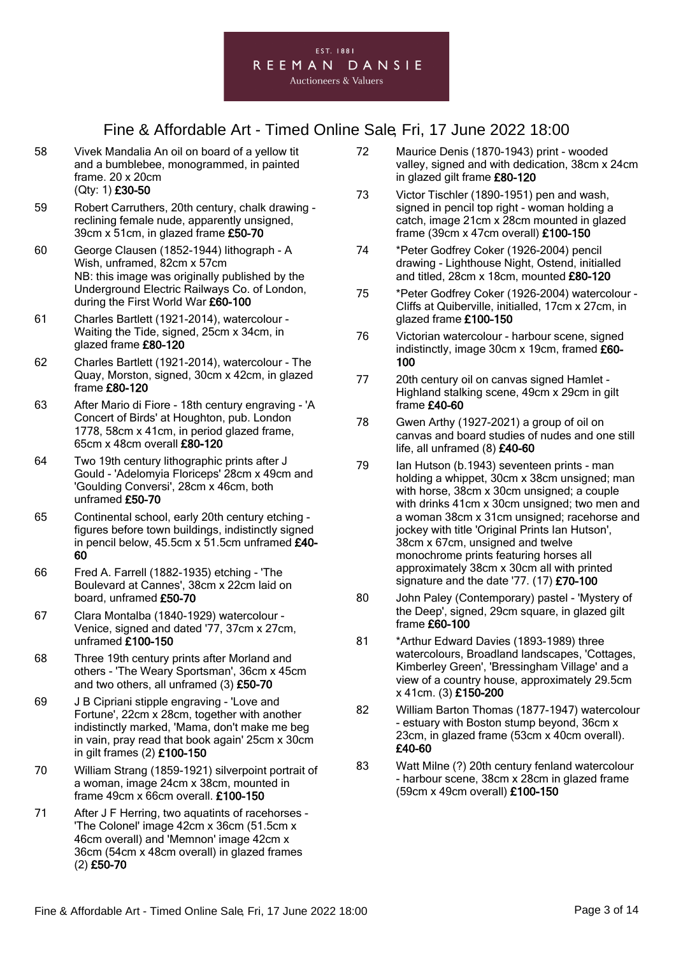

- 58 Vivek Mandalia An oil on board of a yellow tit and a bumblebee, monogrammed, in painted frame. 20 x 20cm (Qty: 1) £30-50
- 59 Robert Carruthers, 20th century, chalk drawing reclining female nude, apparently unsigned, 39cm x 51cm, in glazed frame £50-70
- 60 George Clausen (1852-1944) lithograph A Wish, unframed, 82cm x 57cm NB: this image was originally published by the Underground Electric Railways Co. of London, during the First World War £60-100
- 61 Charles Bartlett (1921-2014), watercolour Waiting the Tide, signed, 25cm x 34cm, in glazed frame £80-120
- 62 Charles Bartlett (1921-2014), watercolour The Quay, Morston, signed, 30cm x 42cm, in glazed frame £80-120
- 63 After Mario di Fiore 18th century engraving 'A Concert of Birds' at Houghton, pub. London 1778, 58cm x 41cm, in period glazed frame, 65cm x 48cm overall £80-120
- 64 Two 19th century lithographic prints after J Gould - 'Adelomyia Floriceps' 28cm x 49cm and 'Goulding Conversi', 28cm x 46cm, both unframed £50-70
- 65 Continental school, early 20th century etching figures before town buildings, indistinctly signed in pencil below, 45.5cm x 51.5cm unframed £40- 60
- 66 Fred A. Farrell (1882-1935) etching 'The Boulevard at Cannes', 38cm x 22cm laid on board, unframed £50-70
- 67 Clara Montalba (1840-1929) watercolour Venice, signed and dated '77, 37cm x 27cm, unframed £100-150
- 68 Three 19th century prints after Morland and others - 'The Weary Sportsman', 36cm x 45cm and two others, all unframed (3) £50-70
- 69 J B Cipriani stipple engraving 'Love and Fortune', 22cm x 28cm, together with another indistinctly marked, 'Mama, don't make me beg in vain, pray read that book again' 25cm x 30cm in gilt frames (2) £100-150
- 70 William Strang (1859-1921) silverpoint portrait of a woman, image 24cm x 38cm, mounted in frame 49cm x 66cm overall. £100-150
- 71 After J F Herring, two aquatints of racehorses 'The Colonel' image 42cm x 36cm (51.5cm x 46cm overall) and 'Memnon' image 42cm x 36cm (54cm x 48cm overall) in glazed frames (2) £50-70
- 72 Maurice Denis (1870-1943) print wooded valley, signed and with dedication, 38cm x 24cm in glazed gilt frame £80-120
- 73 Victor Tischler (1890-1951) pen and wash, signed in pencil top right - woman holding a catch, image 21cm x 28cm mounted in glazed frame (39cm x 47cm overall) £100-150
- 74 \*Peter Godfrey Coker (1926-2004) pencil drawing - Lighthouse Night, Ostend, initialled and titled, 28cm x 18cm, mounted £80-120
- 75 \*Peter Godfrey Coker (1926-2004) watercolour Cliffs at Quiberville, initialled, 17cm x 27cm, in glazed frame £100-150
- 76 Victorian watercolour harbour scene, signed indistinctly, image 30cm x 19cm, framed £60- 100
- 77 20th century oil on canvas signed Hamlet Highland stalking scene, 49cm x 29cm in gilt frame £40-60
- 78 Gwen Arthy (1927-2021) a group of oil on canvas and board studies of nudes and one still life, all unframed (8) £40-60
- 79 Ian Hutson (b.1943) seventeen prints man holding a whippet, 30cm x 38cm unsigned; man with horse, 38cm x 30cm unsigned; a couple with drinks 41cm x 30cm unsigned; two men and a woman 38cm x 31cm unsigned; racehorse and jockey with title 'Original Prints Ian Hutson', 38cm x 67cm, unsigned and twelve monochrome prints featuring horses all approximately 38cm x 30cm all with printed signature and the date '77. (17) £70-100
- 80 John Paley (Contemporary) pastel 'Mystery of the Deep', signed, 29cm square, in glazed gilt frame £60-100
- 81 \*Arthur Edward Davies (1893-1989) three watercolours, Broadland landscapes, 'Cottages, Kimberley Green', 'Bressingham Village' and a view of a country house, approximately 29.5cm x 41cm. (3) £150-200
- 82 William Barton Thomas (1877-1947) watercolour - estuary with Boston stump beyond, 36cm x 23cm, in glazed frame (53cm x 40cm overall). £40-60
- 83 Watt Milne (?) 20th century fenland watercolour - harbour scene, 38cm x 28cm in glazed frame (59cm x 49cm overall) £100-150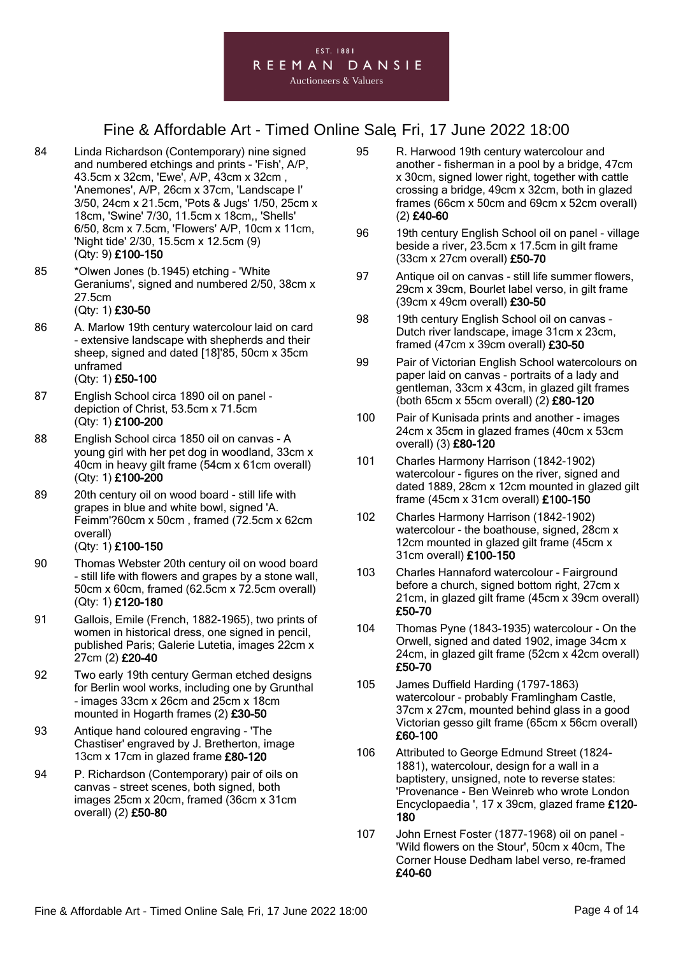# Fine & Affordable Art - Timed Online Sale, Fri, 17 June 2022 18:00

- 84 Linda Richardson (Contemporary) nine signed and numbered etchings and prints - 'Fish', A/P, 43.5cm x 32cm, 'Ewe', A/P, 43cm x 32cm , 'Anemones', A/P, 26cm x 37cm, 'Landscape I' 3/50, 24cm x 21.5cm, 'Pots & Jugs' 1/50, 25cm x 18cm, 'Swine' 7/30, 11.5cm x 18cm,, 'Shells' 6/50, 8cm x 7.5cm, 'Flowers' A/P, 10cm x 11cm, 'Night tide' 2/30, 15.5cm x 12.5cm (9) (Qty: 9) £100-150
- 85 \*Olwen Jones (b.1945) etching 'White Geraniums', signed and numbered 2/50, 38cm x 27.5cm

#### (Qty: 1) £30-50

86 A. Marlow 19th century watercolour laid on card - extensive landscape with shepherds and their sheep, signed and dated [18]'85, 50cm x 35cm unframed

#### (Qty: 1) £50-100

- 87 English School circa 1890 oil on panel depiction of Christ, 53.5cm x 71.5cm (Qty: 1) £100-200
- 88 English School circa 1850 oil on canvas A young girl with her pet dog in woodland, 33cm x 40cm in heavy gilt frame (54cm x 61cm overall) (Qty: 1) £100-200
- 89 20th century oil on wood board still life with grapes in blue and white bowl, signed 'A. Feimm'?60cm x 50cm , framed (72.5cm x 62cm overall)

#### (Qty: 1) £100-150

- 90 Thomas Webster 20th century oil on wood board - still life with flowers and grapes by a stone wall, 50cm x 60cm, framed (62.5cm x 72.5cm overall) (Qty: 1) £120-180
- 91 Gallois, Emile (French, 1882-1965), two prints of women in historical dress, one signed in pencil, published Paris; Galerie Lutetia, images 22cm x 27cm (2) £20-40
- 92 Two early 19th century German etched designs for Berlin wool works, including one by Grunthal - images 33cm x 26cm and 25cm x 18cm mounted in Hogarth frames (2) £30-50
- 93 Antique hand coloured engraving 'The Chastiser' engraved by J. Bretherton, image 13cm x 17cm in glazed frame £80-120
- 94 P. Richardson (Contemporary) pair of oils on canvas - street scenes, both signed, both images 25cm x 20cm, framed (36cm x 31cm overall) (2) £50-80
- 95 R. Harwood 19th century watercolour and another - fisherman in a pool by a bridge, 47cm x 30cm, signed lower right, together with cattle crossing a bridge, 49cm x 32cm, both in glazed frames (66cm x 50cm and 69cm x 52cm overall) (2) £40-60
- 96 19th century English School oil on panel village beside a river, 23.5cm x 17.5cm in gilt frame (33cm x 27cm overall) £50-70
- 97 Antique oil on canvas still life summer flowers, 29cm x 39cm, Bourlet label verso, in gilt frame (39cm x 49cm overall) £30-50
- 98 19th century English School oil on canvas -Dutch river landscape, image 31cm x 23cm, framed (47cm x 39cm overall) £30-50
- 99 Pair of Victorian English School watercolours on paper laid on canvas - portraits of a lady and gentleman, 33cm x 43cm, in glazed gilt frames (both 65cm x 55cm overall) (2) £80-120
- 100 Pair of Kunisada prints and another images 24cm x 35cm in glazed frames (40cm x 53cm overall) (3) £80-120
- 101 Charles Harmony Harrison (1842-1902) watercolour - figures on the river, signed and dated 1889, 28cm x 12cm mounted in glazed gilt frame (45cm x 31cm overall) £100-150
- 102 Charles Harmony Harrison (1842-1902) watercolour - the boathouse, signed, 28cm x 12cm mounted in glazed gilt frame (45cm x 31cm overall) £100-150
- 103 Charles Hannaford watercolour Fairground before a church, signed bottom right, 27cm x 21cm, in glazed gilt frame (45cm x 39cm overall) £50-70
- 104 Thomas Pyne (1843-1935) watercolour On the Orwell, signed and dated 1902, image 34cm x 24cm, in glazed gilt frame (52cm x  $42$ cm overall) £50-70
- 105 James Duffield Harding (1797-1863) watercolour - probably Framlingham Castle, 37cm x 27cm, mounted behind glass in a good Victorian gesso gilt frame (65cm x 56cm overall) £60-100
- 106 Attributed to George Edmund Street (1824- 1881), watercolour, design for a wall in a baptistery, unsigned, note to reverse states: 'Provenance - Ben Weinreb who wrote London Encyclopaedia ', 17 x 39cm, glazed frame £120- 180
- 107 John Ernest Foster (1877-1968) oil on panel 'Wild flowers on the Stour', 50cm x 40cm, The Corner House Dedham label verso, re-framed £40-60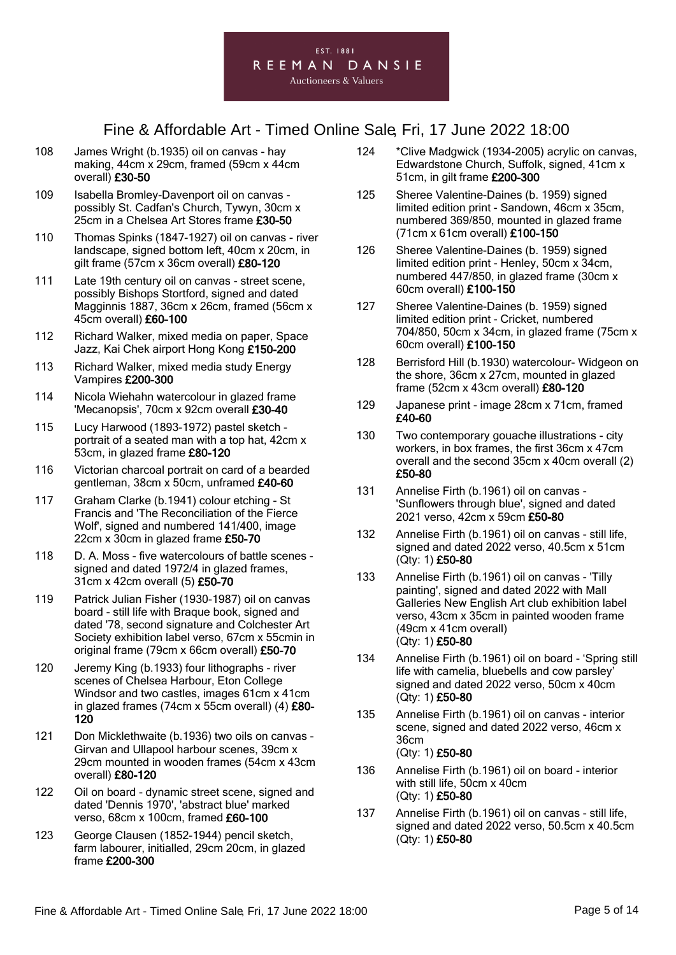

- 108 James Wright (b.1935) oil on canvas hay making, 44cm x 29cm, framed (59cm x 44cm overall) £30-50
- 109 Isabella Bromley-Davenport oil on canvas possibly St. Cadfan's Church, Tywyn, 30cm x 25cm in a Chelsea Art Stores frame £30-50
- 110 Thomas Spinks (1847-1927) oil on canvas river landscape, signed bottom left, 40cm x 20cm, in gilt frame (57cm x 36cm overall) £80-120
- 111 Late 19th century oil on canvas street scene, possibly Bishops Stortford, signed and dated Magginnis 1887, 36cm x 26cm, framed (56cm x 45cm overall) £60-100
- 112 Richard Walker, mixed media on paper, Space Jazz, Kai Chek airport Hong Kong £150-200
- 113 Richard Walker, mixed media study Energy Vampires £200-300
- 114 Nicola Wiehahn watercolour in glazed frame 'Mecanopsis', 70cm x 92cm overall £30-40
- 115 Lucy Harwood (1893-1972) pastel sketch portrait of a seated man with a top hat, 42cm x 53cm, in glazed frame £80-120
- 116 Victorian charcoal portrait on card of a bearded gentleman, 38cm x 50cm, unframed £40-60
- 117 Graham Clarke (b.1941) colour etching St Francis and 'The Reconciliation of the Fierce Wolf', signed and numbered 141/400, image 22cm x 30cm in glazed frame £50-70
- 118 D. A. Moss five watercolours of battle scenes signed and dated 1972/4 in glazed frames, 31cm x 42cm overall (5) £50-70
- 119 Patrick Julian Fisher (1930-1987) oil on canvas board - still life with Braque book, signed and dated '78, second signature and Colchester Art Society exhibition label verso, 67cm x 55cmin in original frame (79cm x 66cm overall) £50-70
- 120 Jeremy King (b.1933) four lithographs river scenes of Chelsea Harbour, Eton College Windsor and two castles, images 61cm x 41cm in glazed frames (74cm x 55cm overall) (4) £80- 120
- 121 Don Micklethwaite (b.1936) two oils on canvas Girvan and Ullapool harbour scenes, 39cm x 29cm mounted in wooden frames (54cm x 43cm overall) £80-120
- 122 Oil on board dynamic street scene, signed and dated 'Dennis 1970', 'abstract blue' marked verso, 68cm x 100cm, framed £60-100
- 123 George Clausen (1852-1944) pencil sketch, farm labourer, initialled, 29cm 20cm, in glazed frame £200-300
- 124 \*Clive Madgwick (1934-2005) acrylic on canvas, Edwardstone Church, Suffolk, signed, 41cm x 51cm, in gilt frame £200-300
- 125 Sheree Valentine-Daines (b. 1959) signed limited edition print - Sandown, 46cm x 35cm, numbered 369/850, mounted in glazed frame (71cm x 61cm overall) £100-150
- 126 Sheree Valentine-Daines (b. 1959) signed limited edition print - Henley, 50cm x 34cm, numbered 447/850, in glazed frame (30cm x 60cm overall) £100-150
- 127 Sheree Valentine-Daines (b. 1959) signed limited edition print - Cricket, numbered 704/850, 50cm x 34cm, in glazed frame (75cm x 60cm overall) £100-150
- 128 Berrisford Hill (b.1930) watercolour- Widgeon on the shore, 36cm x 27cm, mounted in glazed frame (52cm x 43cm overall) £80-120
- 129 Japanese print image 28cm x 71cm, framed £40-60
- 130 Two contemporary gouache illustrations city workers, in box frames, the first 36cm x 47cm overall and the second 35cm x 40cm overall (2) £50-80
- 131 Annelise Firth (b.1961) oil on canvas 'Sunflowers through blue', signed and dated 2021 verso, 42cm x 59cm £50-80
- 132 Annelise Firth (b.1961) oil on canvas still life, signed and dated 2022 verso, 40.5cm x 51cm (Qty: 1) £50-80
- 133 Annelise Firth (b.1961) oil on canvas 'Tilly painting', signed and dated 2022 with Mall Galleries New English Art club exhibition label verso, 43cm x 35cm in painted wooden frame (49cm x 41cm overall) (Qty: 1) £50-80
- 134 Annelise Firth (b.1961) oil on board 'Spring still life with camelia, bluebells and cow parsley' signed and dated 2022 verso, 50cm x 40cm (Qty: 1) £50-80
- 135 Annelise Firth (b.1961) oil on canvas interior scene, signed and dated 2022 verso, 46cm x 36cm (Qty: 1) £50-80
- 136 Annelise Firth (b.1961) oil on board interior with still life, 50cm x 40cm (Qty: 1) £50-80
- 137 Annelise Firth (b.1961) oil on canvas still life, signed and dated 2022 verso, 50.5cm x 40.5cm (Qty: 1) £50-80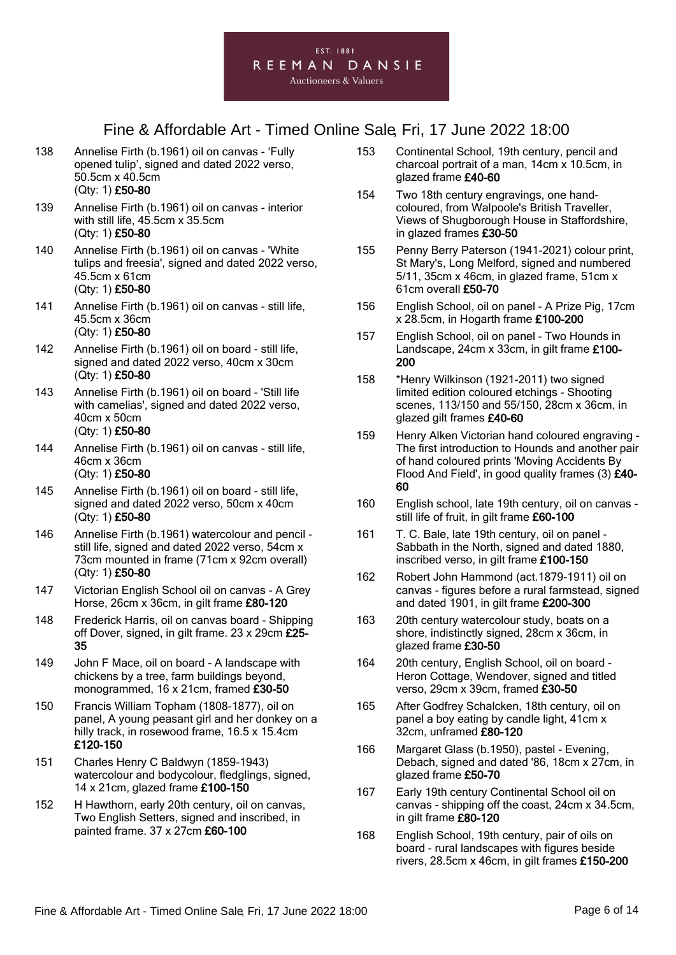# Fine & Affordable Art - Timed Online Sale, Fri, 17 June 2022 18:00

- 138 Annelise Firth (b.1961) oil on canvas 'Fully opened tulip', signed and dated 2022 verso, 50.5cm x 40.5cm (Qty: 1) £50-80
- 139 Annelise Firth (b.1961) oil on canvas interior with still life, 45.5cm x 35.5cm (Qty: 1) £50-80
- 140 Annelise Firth (b.1961) oil on canvas 'White tulips and freesia', signed and dated 2022 verso, 45.5cm x 61cm (Qty: 1) £50-80
- 141 Annelise Firth (b.1961) oil on canvas still life, 45.5cm x 36cm (Qty: 1) £50-80
- 142 Annelise Firth (b.1961) oil on board still life, signed and dated 2022 verso, 40cm x 30cm (Qty: 1) £50-80
- 143 Annelise Firth (b.1961) oil on board 'Still life with camelias', signed and dated 2022 verso, 40cm x 50cm (Qty: 1) £50-80
- 144 Annelise Firth (b.1961) oil on canvas still life, 46cm x 36cm

#### (Qty: 1) £50-80

- 145 Annelise Firth (b.1961) oil on board still life, signed and dated 2022 verso, 50cm x 40cm (Qty: 1) £50-80
- 146 Annelise Firth (b.1961) watercolour and pencil still life, signed and dated 2022 verso, 54cm x 73cm mounted in frame (71cm x 92cm overall) (Qty: 1) £50-80
- 147 Victorian English School oil on canvas A Grey Horse, 26cm x 36cm, in gilt frame £80-120
- 148 Frederick Harris, oil on canvas board Shipping off Dover, signed, in gilt frame. 23 x 29cm £25- 35
- 149 John F Mace, oil on board A landscape with chickens by a tree, farm buildings beyond, monogrammed, 16 x 21cm, framed £30-50
- 150 Francis William Topham (1808-1877), oil on panel, A young peasant girl and her donkey on a hilly track, in rosewood frame, 16.5 x 15.4cm £120-150
- 151 Charles Henry C Baldwyn (1859-1943) watercolour and bodycolour, fledglings, signed, 14 x 21cm, glazed frame £100-150
- 152 H Hawthorn, early 20th century, oil on canvas, Two English Setters, signed and inscribed, in painted frame. 37 x 27cm £60-100
- 153 Continental School, 19th century, pencil and charcoal portrait of a man, 14cm x 10.5cm, in glazed frame £40-60
- 154 Two 18th century engravings, one handcoloured, from Walpoole's British Traveller, Views of Shugborough House in Staffordshire, in glazed frames £30-50
- 155 Penny Berry Paterson (1941-2021) colour print, St Mary's, Long Melford, signed and numbered 5/11, 35cm x 46cm, in glazed frame, 51cm x 61cm overall £50-70
- 156 English School, oil on panel A Prize Pig, 17cm x 28.5cm, in Hogarth frame £100-200
- 157 English School, oil on panel Two Hounds in Landscape, 24cm x 33cm, in gilt frame £100- 200
- 158 \*Henry Wilkinson (1921-2011) two signed limited edition coloured etchings - Shooting scenes, 113/150 and 55/150, 28cm x 36cm, in glazed gilt frames £40-60
- 159 Henry Alken Victorian hand coloured engraving The first introduction to Hounds and another pair of hand coloured prints 'Moving Accidents By Flood And Field', in good quality frames (3) £40- 60
- 160 English school, late 19th century, oil on canvas still life of fruit, in gilt frame £60-100
- 161 T. C. Bale, late 19th century, oil on panel Sabbath in the North, signed and dated 1880, inscribed verso, in gilt frame £100-150
- 162 Robert John Hammond (act.1879-1911) oil on canvas - figures before a rural farmstead, signed and dated 1901, in gilt frame £200-300
- 163 20th century watercolour study, boats on a shore, indistinctly signed, 28cm x 36cm, in glazed frame £30-50
- 164 20th century, English School, oil on board Heron Cottage, Wendover, signed and titled verso, 29cm x 39cm, framed £30-50
- 165 After Godfrey Schalcken, 18th century, oil on panel a boy eating by candle light, 41cm x 32cm, unframed £80-120
- 166 Margaret Glass (b.1950), pastel Evening, Debach, signed and dated '86, 18cm x 27cm, in glazed frame £50-70
- 167 Early 19th century Continental School oil on canvas - shipping off the coast, 24cm x 34.5cm, in gilt frame £80-120
- 168 English School, 19th century, pair of oils on board - rural landscapes with figures beside rivers, 28.5cm x 46cm, in gilt frames £150-200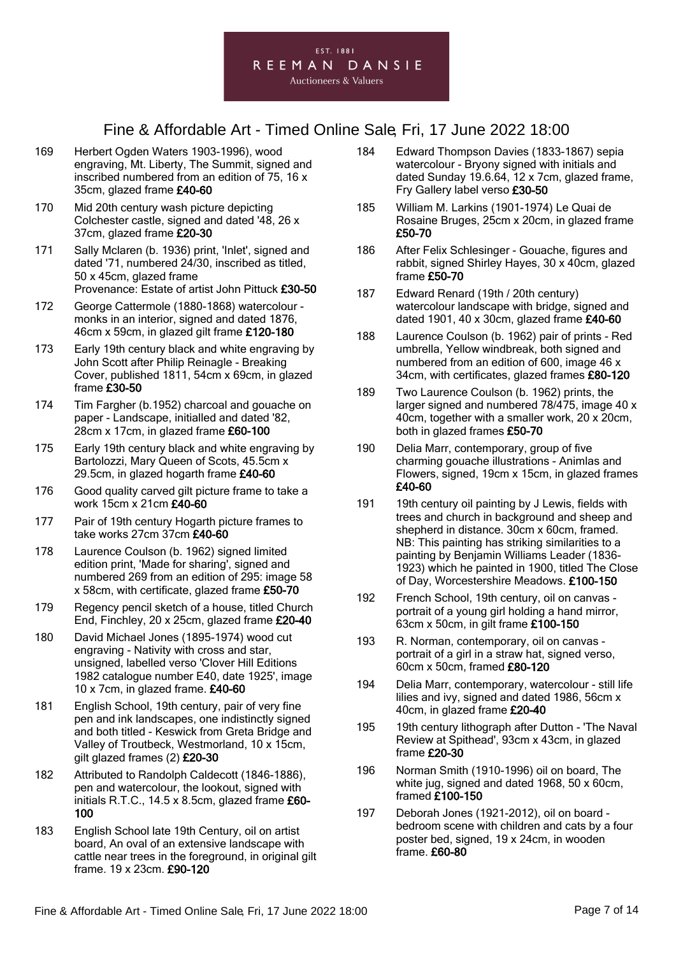- 169 Herbert Ogden Waters 1903-1996), wood engraving, Mt. Liberty, The Summit, signed and inscribed numbered from an edition of 75, 16 x 35cm, glazed frame £40-60
- 170 Mid 20th century wash picture depicting Colchester castle, signed and dated '48, 26 x 37cm, glazed frame £20-30
- 171 Sally Mclaren (b. 1936) print, 'Inlet', signed and dated '71, numbered 24/30, inscribed as titled, 50 x 45cm, glazed frame Provenance: Estate of artist John Pittuck £30-50
- 172 George Cattermole (1880-1868) watercolour monks in an interior, signed and dated 1876, 46cm x 59cm, in glazed gilt frame £120-180
- 173 Early 19th century black and white engraving by John Scott after Philip Reinagle - Breaking Cover, published 1811, 54cm x 69cm, in glazed frame £30-50
- 174 Tim Fargher (b.1952) charcoal and gouache on paper - Landscape, initialled and dated '82, 28cm x 17cm, in glazed frame £60-100
- 175 Early 19th century black and white engraving by Bartolozzi, Mary Queen of Scots, 45.5cm x 29.5cm, in glazed hogarth frame £40-60
- 176 Good quality carved gilt picture frame to take a work 15cm x 21cm £40-60
- 177 Pair of 19th century Hogarth picture frames to take works 27cm 37cm £40-60
- 178 Laurence Coulson (b. 1962) signed limited edition print, 'Made for sharing', signed and numbered 269 from an edition of 295: image 58 x 58cm, with certificate, glazed frame £50-70
- 179 Regency pencil sketch of a house, titled Church End, Finchley, 20 x 25cm, glazed frame £20-40
- 180 David Michael Jones (1895-1974) wood cut engraving - Nativity with cross and star, unsigned, labelled verso 'Clover Hill Editions 1982 catalogue number E40, date 1925', image 10 x 7cm, in glazed frame. £40-60
- 181 English School, 19th century, pair of very fine pen and ink landscapes, one indistinctly signed and both titled - Keswick from Greta Bridge and Valley of Troutbeck, Westmorland, 10 x 15cm, gilt glazed frames (2) £20-30
- 182 Attributed to Randolph Caldecott (1846-1886), pen and watercolour, the lookout, signed with initials R.T.C., 14.5 x 8.5cm, glazed frame £60- 100
- 183 English School late 19th Century, oil on artist board, An oval of an extensive landscape with cattle near trees in the foreground, in original gilt frame. 19 x 23cm. £90-120
- 184 Edward Thompson Davies (1833-1867) sepia watercolour - Bryony signed with initials and dated Sunday 19.6.64, 12 x 7cm, glazed frame, Fry Gallery label verso £30-50
- 185 William M. Larkins (1901-1974) Le Quai de Rosaine Bruges, 25cm x 20cm, in glazed frame £50-70
- 186 After Felix Schlesinger Gouache, figures and rabbit, signed Shirley Hayes, 30 x 40cm, glazed frame £50-70
- 187 Edward Renard (19th / 20th century) watercolour landscape with bridge, signed and dated 1901, 40 x 30cm, glazed frame £40-60
- 188 Laurence Coulson (b. 1962) pair of prints Red umbrella, Yellow windbreak, both signed and numbered from an edition of 600, image 46 x 34cm, with certificates, glazed frames £80-120
- 189 Two Laurence Coulson (b. 1962) prints, the larger signed and numbered 78/475, image 40 x 40cm, together with a smaller work, 20 x 20cm, both in glazed frames £50-70
- 190 Delia Marr, contemporary, group of five charming gouache illustrations - Animlas and Flowers, signed, 19cm x 15cm, in glazed frames £40-60
- 191 19th century oil painting by J Lewis, fields with trees and church in background and sheep and shepherd in distance. 30cm x 60cm, framed. NB: This painting has striking similarities to a painting by Benjamin Williams Leader (1836- 1923) which he painted in 1900, titled The Close of Day, Worcestershire Meadows. £100-150
- 192 French School, 19th century, oil on canvas portrait of a young girl holding a hand mirror, 63cm x 50cm, in gilt frame £100-150
- 193 R. Norman, contemporary, oil on canvas portrait of a girl in a straw hat, signed verso, 60cm x 50cm, framed £80-120
- 194 Delia Marr, contemporary, watercolour still life lilies and ivy, signed and dated 1986, 56cm x 40cm, in glazed frame £20-40
- 195 19th century lithograph after Dutton 'The Naval Review at Spithead', 93cm x 43cm, in glazed frame £20-30
- 196 Norman Smith (1910-1996) oil on board, The white jug, signed and dated 1968, 50 x 60cm, framed £100-150
- 197 Deborah Jones (1921-2012), oil on board bedroom scene with children and cats by a four poster bed, signed, 19 x 24cm, in wooden frame. £60-80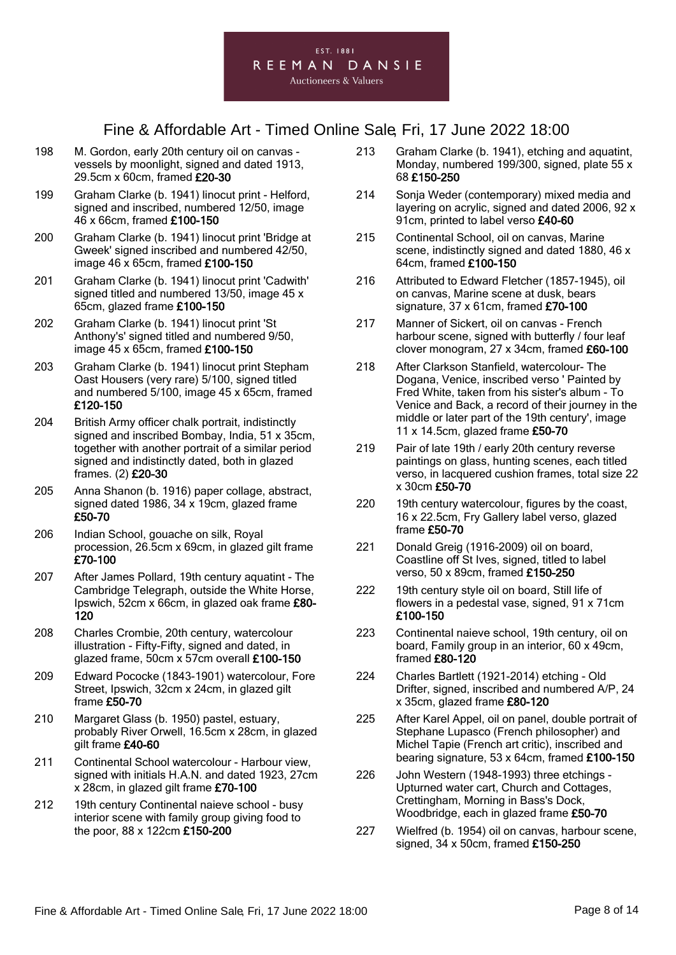

- 198 M. Gordon, early 20th century oil on canvas vessels by moonlight, signed and dated 1913, 29.5cm x 60cm, framed £20-30
- 199 Graham Clarke (b. 1941) linocut print Helford, signed and inscribed, numbered 12/50, image 46 x 66cm, framed £100-150
- 200 Graham Clarke (b. 1941) linocut print 'Bridge at Gweek' signed inscribed and numbered 42/50, image 46 x 65cm, framed £100-150
- 201 Graham Clarke (b. 1941) linocut print 'Cadwith' signed titled and numbered 13/50, image 45 x 65cm, glazed frame £100-150
- 202 Graham Clarke (b. 1941) linocut print 'St Anthony's' signed titled and numbered 9/50, image 45 x 65cm, framed £100-150
- 203 Graham Clarke (b. 1941) linocut print Stepham Oast Housers (very rare) 5/100, signed titled and numbered 5/100, image 45 x 65cm, framed £120-150
- 204 British Army officer chalk portrait, indistinctly signed and inscribed Bombay, India, 51 x 35cm, together with another portrait of a similar period signed and indistinctly dated, both in glazed frames. (2) £20-30
- 205 Anna Shanon (b. 1916) paper collage, abstract, signed dated 1986,  $34 \times 19$ cm, glazed frame £50-70
- 206 Indian School, gouache on silk, Royal procession, 26.5cm x 69cm, in glazed gilt frame £70-100
- 207 After James Pollard, 19th century aquatint The Cambridge Telegraph, outside the White Horse, Ipswich, 52cm x 66cm, in glazed oak frame £80- 120
- 208 Charles Crombie, 20th century, watercolour illustration - Fifty-Fifty, signed and dated, in glazed frame, 50cm x 57cm overall £100-150
- 209 Edward Pococke (1843-1901) watercolour, Fore Street, Ipswich, 32cm x 24cm, in glazed gilt frame £50-70
- 210 Margaret Glass (b. 1950) pastel, estuary, probably River Orwell, 16.5cm x 28cm, in glazed gilt frame £40-60
- 211 Continental School watercolour Harbour view, signed with initials H.A.N. and dated 1923, 27cm x 28cm, in glazed gilt frame £70-100
- 212 19th century Continental naieve school busy interior scene with family group giving food to the poor, 88 x 122cm £150-200
- 213 Graham Clarke (b. 1941), etching and aquatint, Monday, numbered 199/300, signed, plate 55 x 68 £150-250
- 214 Sonja Weder (contemporary) mixed media and layering on acrylic, signed and dated 2006, 92 x 91cm, printed to label verso £40-60
- 215 Continental School, oil on canvas, Marine scene, indistinctly signed and dated 1880, 46 x 64cm, framed £100-150
- 216 Attributed to Edward Fletcher (1857-1945), oil on canvas, Marine scene at dusk, bears signature, 37 x 61cm, framed £70-100
- 217 Manner of Sickert, oil on canvas French harbour scene, signed with butterfly / four leaf clover monogram, 27 x 34cm, framed £60-100
- 218 After Clarkson Stanfield, watercolour- The Dogana, Venice, inscribed verso ' Painted by Fred White, taken from his sister's album - To Venice and Back, a record of their journey in the middle or later part of the 19th century', image 11 x 14.5cm, glazed frame £50-70
- 219 Pair of late 19th / early 20th century reverse paintings on glass, hunting scenes, each titled verso, in lacquered cushion frames, total size 22 x 30cm £50-70
- 220 19th century watercolour, figures by the coast, 16 x 22.5cm, Fry Gallery label verso, glazed frame £50-70
- 221 Donald Greig (1916-2009) oil on board, Coastline off St Ives, signed, titled to label verso, 50 x 89cm, framed £150-250
- 222 19th century style oil on board, Still life of flowers in a pedestal vase, signed, 91 x 71cm £100-150
- 223 Continental naieve school, 19th century, oil on board, Family group in an interior, 60 x 49cm, framed £80-120
- 224 Charles Bartlett (1921-2014) etching Old Drifter, signed, inscribed and numbered A/P, 24 x 35cm, glazed frame £80-120
- 225 After Karel Appel, oil on panel, double portrait of Stephane Lupasco (French philosopher) and Michel Tapie (French art critic), inscribed and bearing signature, 53 x 64cm, framed £100-150
- 226 John Western (1948-1993) three etchings Upturned water cart, Church and Cottages, Crettingham, Morning in Bass's Dock, Woodbridge, each in glazed frame £50-70
- 227 Wielfred (b. 1954) oil on canvas, harbour scene, signed, 34 x 50cm, framed £150-250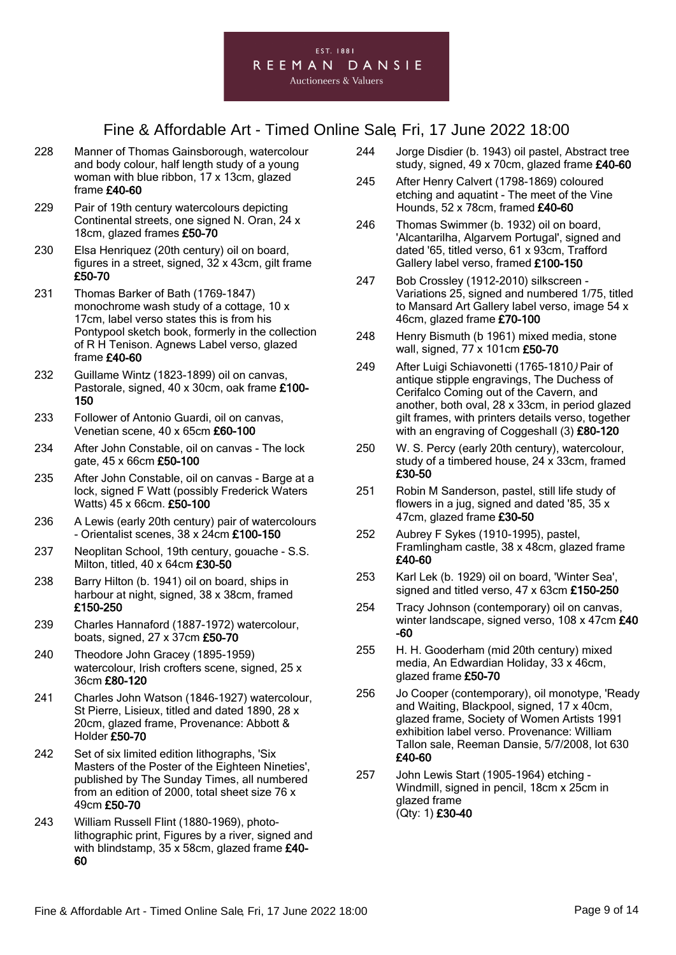- 228 Manner of Thomas Gainsborough, watercolour and body colour, half length study of a young woman with blue ribbon, 17 x 13cm, glazed frame £40-60
- 229 Pair of 19th century watercolours depicting Continental streets, one signed N. Oran, 24 x 18cm, glazed frames £50-70
- 230 Elsa Henriquez (20th century) oil on board, figures in a street, signed, 32 x 43cm, gilt frame £50-70
- 231 Thomas Barker of Bath (1769-1847) monochrome wash study of a cottage, 10 x 17cm, label verso states this is from his Pontypool sketch book, formerly in the collection of R H Tenison. Agnews Label verso, glazed frame £40-60
- 232 Guillame Wintz (1823-1899) oil on canvas, Pastorale, signed, 40 x 30cm, oak frame £100- 150
- 233 Follower of Antonio Guardi, oil on canvas, Venetian scene, 40 x 65cm £60-100
- 234 After John Constable, oil on canvas The lock gate, 45 x 66cm £50-100
- 235 After John Constable, oil on canvas Barge at a lock, signed F Watt (possibly Frederick Waters Watts) 45 x 66cm. £50-100
- 236 A Lewis (early 20th century) pair of watercolours - Orientalist scenes, 38 x 24cm £100-150
- 237 Neoplitan School, 19th century, gouache S.S. Milton, titled, 40 x 64cm £30-50
- 238 Barry Hilton (b. 1941) oil on board, ships in harbour at night, signed, 38 x 38cm, framed £150-250
- 239 Charles Hannaford (1887-1972) watercolour, boats, signed, 27 x 37cm £50-70
- 240 Theodore John Gracey (1895-1959) watercolour, Irish crofters scene, signed, 25 x 36cm £80-120
- 241 Charles John Watson (1846-1927) watercolour, St Pierre, Lisieux, titled and dated 1890, 28 x 20cm, glazed frame, Provenance: Abbott & Holder £50-70
- 242 Set of six limited edition lithographs, 'Six Masters of the Poster of the Eighteen Nineties', published by The Sunday Times, all numbered from an edition of 2000, total sheet size 76 x 49cm £50-70
- 243 William Russell Flint (1880-1969), photolithographic print, Figures by a river, signed and with blindstamp, 35 x 58cm, glazed frame £40- 60
- 244 Jorge Disdier (b. 1943) oil pastel, Abstract tree study, signed, 49 x 70cm, glazed frame £40-60
- 245 After Henry Calvert (1798-1869) coloured etching and aquatint - The meet of the Vine Hounds, 52 x 78cm, framed £40-60
- 246 Thomas Swimmer (b. 1932) oil on board, 'Alcantarilha, Algarvem Portugal', signed and dated '65, titled verso, 61 x 93cm, Trafford Gallery label verso, framed £100-150
- 247 Bob Crossley (1912-2010) silkscreen Variations 25, signed and numbered 1/75, titled to Mansard Art Gallery label verso, image 54 x 46cm, glazed frame £70-100
- 248 Henry Bismuth (b 1961) mixed media, stone wall, signed, 77 x 101cm £50-70
- 249 After Luigi Schiavonetti (1765-1810) Pair of antique stipple engravings, The Duchess of Cerifalco Coming out of the Cavern, and another, both oval, 28 x 33cm, in period glazed gilt frames, with printers details verso, together with an engraving of Coggeshall (3) £80-120
- 250 W. S. Percy (early 20th century), watercolour, study of a timbered house, 24 x 33cm, framed £30-50
- 251 Robin M Sanderson, pastel, still life study of flowers in a jug, signed and dated '85, 35 x 47cm, glazed frame £30-50
- 252 Aubrey F Sykes (1910-1995), pastel, Framlingham castle, 38 x 48cm, glazed frame £40-60
- 253 Karl Lek (b. 1929) oil on board, 'Winter Sea', signed and titled verso, 47 x 63cm £150-250
- 254 Tracy Johnson (contemporary) oil on canvas, winter landscape, signed verso, 108 x 47cm £40 -60
- 255 H. H. Gooderham (mid 20th century) mixed media, An Edwardian Holiday, 33 x 46cm, glazed frame £50-70
- 256 Jo Cooper (contemporary), oil monotype, 'Ready and Waiting, Blackpool, signed, 17 x 40cm, glazed frame, Society of Women Artists 1991 exhibition label verso. Provenance: William Tallon sale, Reeman Dansie, 5/7/2008, lot 630 £40-60
- 257 John Lewis Start (1905-1964) etching Windmill, signed in pencil, 18cm x 25cm in glazed frame (Qty: 1) £30-40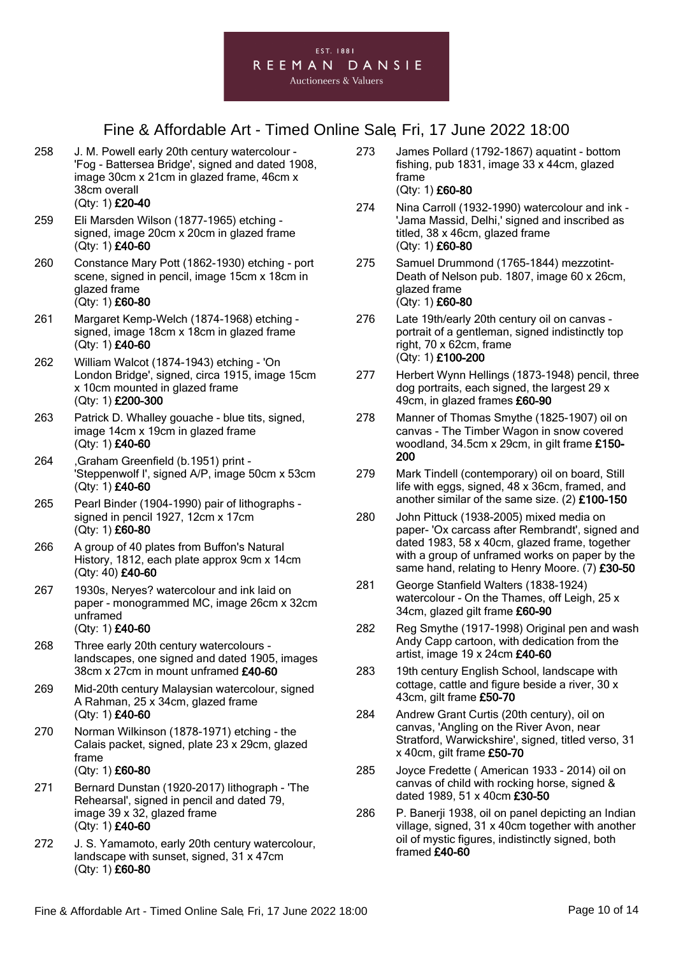- 258 J. M. Powell early 20th century watercolour 'Fog - Battersea Bridge', signed and dated 1908, image 30cm x 21cm in glazed frame, 46cm x 38cm overall (Qty: 1) £20-40
- 259 Eli Marsden Wilson (1877-1965) etching signed, image 20cm x 20cm in glazed frame (Qty: 1) £40-60
- 260 Constance Mary Pott (1862-1930) etching port scene, signed in pencil, image 15cm x 18cm in glazed frame (Qty: 1) £60-80
- 261 Margaret Kemp-Welch (1874-1968) etching signed, image 18cm x 18cm in glazed frame (Qty: 1) £40-60
- 262 William Walcot (1874-1943) etching 'On London Bridge', signed, circa 1915, image 15cm x 10cm mounted in glazed frame (Qty: 1) £200-300
- 263 Patrick D. Whalley gouache blue tits, signed, image 14cm x 19cm in glazed frame (Qty: 1) £40-60
- 264 ,Graham Greenfield (b.1951) print 'Steppenwolf I', signed A/P, image 50cm x 53cm (Qty: 1) £40-60
- 265 Pearl Binder (1904-1990) pair of lithographs signed in pencil 1927, 12cm x 17cm (Qty: 1) £60-80
- 266 A group of 40 plates from Buffon's Natural History, 1812, each plate approx 9cm x 14cm (Qty: 40) £40-60
- 267 1930s, Neryes? watercolour and ink laid on paper - monogrammed MC, image 26cm x 32cm unframed (Qty: 1) £40-60
- 268 Three early 20th century watercolours landscapes, one signed and dated 1905, images 38cm x 27cm in mount unframed £40-60
- 269 Mid-20th century Malaysian watercolour, signed A Rahman, 25 x 34cm, glazed frame (Qty: 1) £40-60
- 270 Norman Wilkinson (1878-1971) etching the Calais packet, signed, plate 23 x 29cm, glazed frame (Qty: 1) £60-80
- 271 Bernard Dunstan (1920-2017) lithograph 'The Rehearsal', signed in pencil and dated 79, image 39 x 32, glazed frame (Qty: 1) £40-60
- 272 J. S. Yamamoto, early 20th century watercolour, landscape with sunset, signed, 31 x 47cm (Qty: 1) £60-80
- 273 James Pollard (1792-1867) aquatint bottom fishing, pub 1831, image 33 x 44cm, glazed frame (Qty: 1) £60-80
- 274 Nina Carroll (1932-1990) watercolour and ink 'Jama Massid, Delhi,' signed and inscribed as titled, 38 x 46cm, glazed frame (Qty: 1) £60-80
- 275 Samuel Drummond (1765-1844) mezzotint-Death of Nelson pub. 1807, image 60 x 26cm, glazed frame (Qty: 1) £60-80
- 276 Late 19th/early 20th century oil on canvas portrait of a gentleman, signed indistinctly top right, 70 x 62cm, frame (Qty: 1) £100-200
- 277 Herbert Wynn Hellings (1873-1948) pencil, three dog portraits, each signed, the largest 29 x 49cm, in glazed frames £60-90
- 278 Manner of Thomas Smythe (1825-1907) oil on canvas - The Timber Wagon in snow covered woodland, 34.5cm x 29cm, in gilt frame £150- 200
- 279 Mark Tindell (contemporary) oil on board, Still life with eggs, signed, 48 x 36cm, framed, and another similar of the same size. (2) £100-150
- 280 John Pittuck (1938-2005) mixed media on paper- 'Ox carcass after Rembrandt', signed and dated 1983, 58 x 40cm, glazed frame, together with a group of unframed works on paper by the same hand, relating to Henry Moore. (7) £30-50
- 281 George Stanfield Walters (1838-1924) watercolour - On the Thames, off Leigh, 25 x 34cm, glazed gilt frame £60-90
- 282 Reg Smythe (1917-1998) Original pen and wash Andy Capp cartoon, with dedication from the artist, image 19 x 24cm £40-60
- 283 19th century English School, landscape with cottage, cattle and figure beside a river, 30 x 43cm, gilt frame £50-70
- 284 Andrew Grant Curtis (20th century), oil on canvas, 'Angling on the River Avon, near Stratford, Warwickshire', signed, titled verso, 31 x 40cm, gilt frame £50-70
- 285 Joyce Fredette ( American 1933 2014) oil on canvas of child with rocking horse, signed & dated 1989, 51 x 40cm £30-50
- 286 P. Banerji 1938, oil on panel depicting an Indian village, signed, 31 x 40cm together with another oil of mystic figures, indistinctly signed, both framed £40-60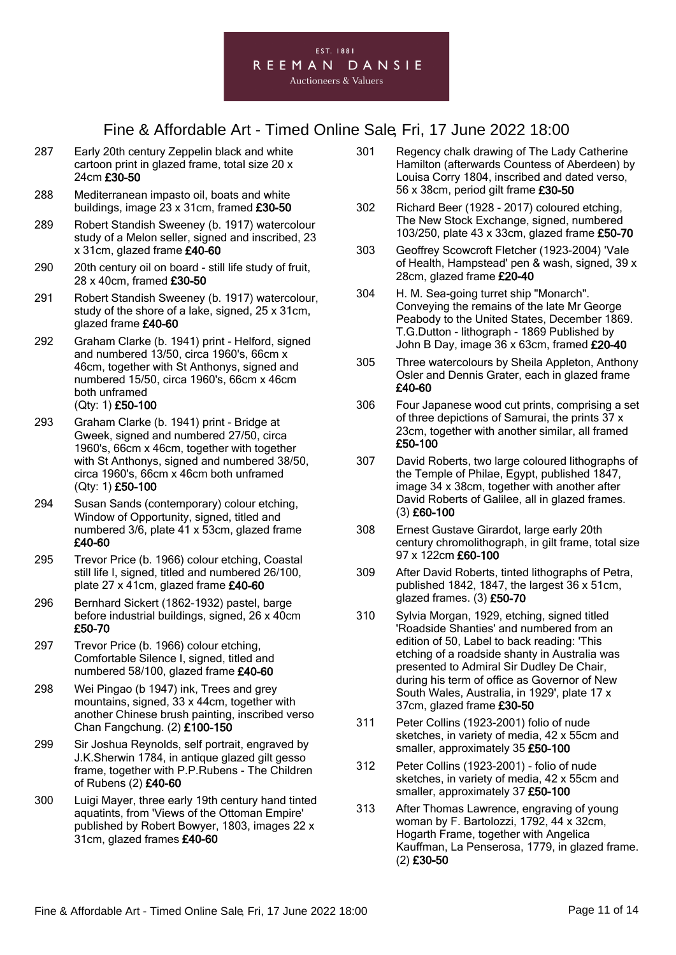

- 287 Early 20th century Zeppelin black and white cartoon print in glazed frame, total size 20 x 24cm £30-50
- 288 Mediterranean impasto oil, boats and white buildings, image 23 x 31cm, framed £30-50
- 289 Robert Standish Sweeney (b. 1917) watercolour study of a Melon seller, signed and inscribed, 23 x 31cm, glazed frame £40-60
- 290 20th century oil on board still life study of fruit, 28 x 40cm, framed £30-50
- 291 Robert Standish Sweeney (b. 1917) watercolour, study of the shore of a lake, signed, 25 x 31cm, glazed frame £40-60
- 292 Graham Clarke (b. 1941) print Helford, signed and numbered 13/50, circa 1960's, 66cm x 46cm, together with St Anthonys, signed and numbered 15/50, circa 1960's, 66cm x 46cm both unframed (Qty: 1) £50-100
- 293 Graham Clarke (b. 1941) print Bridge at Gweek, signed and numbered 27/50, circa 1960's, 66cm x 46cm, together with together with St Anthonys, signed and numbered 38/50, circa 1960's, 66cm x 46cm both unframed (Qty: 1) £50-100
- 294 Susan Sands (contemporary) colour etching, Window of Opportunity, signed, titled and numbered 3/6, plate 41 x 53cm, glazed frame £40-60
- 295 Trevor Price (b. 1966) colour etching, Coastal still life I, signed, titled and numbered 26/100, plate 27 x 41cm, glazed frame £40-60
- 296 Bernhard Sickert (1862-1932) pastel, barge before industrial buildings, signed, 26 x 40cm £50-70
- 297 Trevor Price (b. 1966) colour etching, Comfortable Silence I, signed, titled and numbered 58/100, glazed frame £40-60
- 298 Wei Pingao (b 1947) ink, Trees and grey mountains, signed, 33 x 44cm, together with another Chinese brush painting, inscribed verso Chan Fangchung. (2) £100-150
- 299 Sir Joshua Reynolds, self portrait, engraved by J.K.Sherwin 1784, in antique glazed gilt gesso frame, together with P.P.Rubens - The Children of Rubens (2) £40-60
- 300 Luigi Mayer, three early 19th century hand tinted aquatints, from 'Views of the Ottoman Empire' published by Robert Bowyer, 1803, images 22 x 31cm, glazed frames £40-60
- 301 Regency chalk drawing of The Lady Catherine Hamilton (afterwards Countess of Aberdeen) by Louisa Corry 1804, inscribed and dated verso, 56 x 38cm, period gilt frame £30-50
- 302 Richard Beer (1928 2017) coloured etching, The New Stock Exchange, signed, numbered 103/250, plate 43 x 33cm, glazed frame £50-70
- 303 Geoffrey Scowcroft Fletcher (1923-2004) 'Vale of Health, Hampstead' pen & wash, signed, 39 x 28cm, glazed frame £20-40
- 304 H. M. Sea-going turret ship "Monarch". Conveying the remains of the late Mr George Peabody to the United States, December 1869. T.G.Dutton - lithograph - 1869 Published by John B Day, image 36 x 63cm, framed £20-40
- 305 Three watercolours by Sheila Appleton, Anthony Osler and Dennis Grater, each in glazed frame £40-60
- 306 Four Japanese wood cut prints, comprising a set of three depictions of Samurai, the prints 37 x 23cm, together with another similar, all framed £50-100
- 307 David Roberts, two large coloured lithographs of the Temple of Philae, Egypt, published 1847, image 34 x 38cm, together with another after David Roberts of Galilee, all in glazed frames. (3) £60-100
- 308 Ernest Gustave Girardot, large early 20th century chromolithograph, in gilt frame, total size 97 x 122cm £60-100
- 309 After David Roberts, tinted lithographs of Petra, published 1842, 1847, the largest 36 x 51cm, glazed frames. (3) £50-70
- 310 Sylvia Morgan, 1929, etching, signed titled 'Roadside Shanties' and numbered from an edition of 50, Label to back reading: 'This etching of a roadside shanty in Australia was presented to Admiral Sir Dudley De Chair, during his term of office as Governor of New South Wales, Australia, in 1929', plate 17 x 37cm, glazed frame £30-50
- 311 Peter Collins (1923-2001) folio of nude sketches, in variety of media, 42 x 55cm and smaller, approximately 35 £50-100
- 312 Peter Collins (1923-2001) folio of nude sketches, in variety of media, 42 x 55cm and smaller, approximately 37 £50-100
- 313 After Thomas Lawrence, engraving of young woman by F. Bartolozzi, 1792, 44 x 32cm, Hogarth Frame, together with Angelica Kauffman, La Penserosa, 1779, in glazed frame. (2) £30-50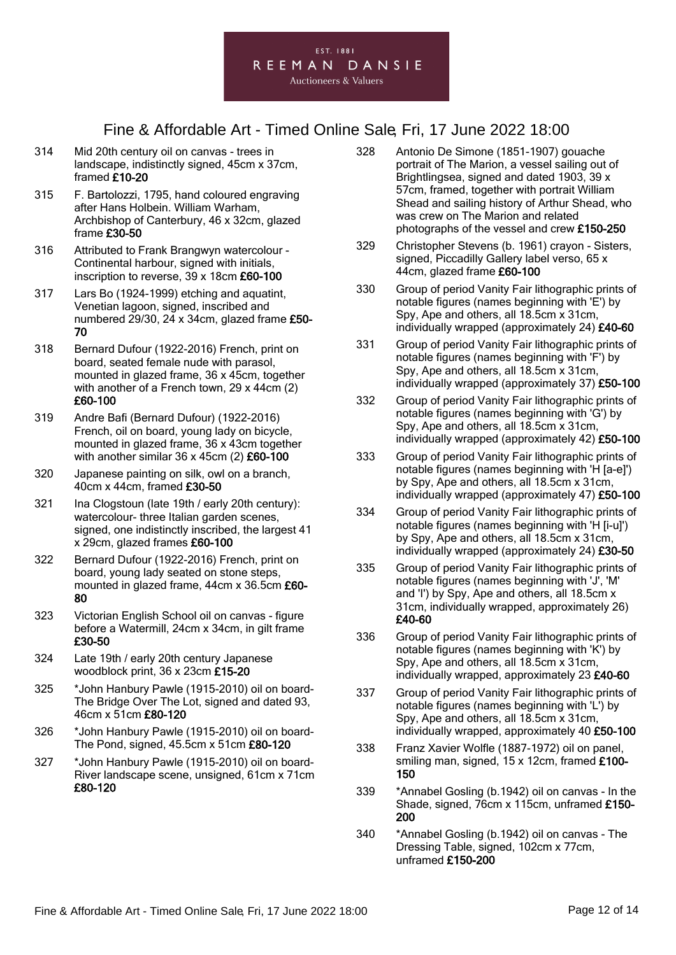

- 314 Mid 20th century oil on canvas trees in landscape, indistinctly signed, 45cm x 37cm, framed £10-20
- 315 F. Bartolozzi, 1795, hand coloured engraving after Hans Holbein. William Warham, Archbishop of Canterbury, 46 x 32cm, glazed frame £30-50
- 316 Attributed to Frank Brangwyn watercolour Continental harbour, signed with initials, inscription to reverse, 39 x 18cm £60-100
- 317 Lars Bo (1924-1999) etching and aquatint, Venetian lagoon, signed, inscribed and numbered 29/30, 24 x 34cm, glazed frame £50- 70
- 318 Bernard Dufour (1922-2016) French, print on board, seated female nude with parasol, mounted in glazed frame, 36 x 45cm, together with another of a French town, 29 x 44cm (2) £60-100
- 319 Andre Bafi (Bernard Dufour) (1922-2016) French, oil on board, young lady on bicycle, mounted in glazed frame, 36 x 43cm together with another similar 36 x 45cm (2) £60-100
- 320 Japanese painting on silk, owl on a branch, 40cm x 44cm, framed £30-50
- 321 Ina Clogstoun (late 19th / early 20th century): watercolour- three Italian garden scenes. signed, one indistinctly inscribed, the largest 41 x 29cm, glazed frames £60-100
- 322 Bernard Dufour (1922-2016) French, print on board, young lady seated on stone steps, mounted in glazed frame, 44cm x 36.5cm £60- 80
- 323 Victorian English School oil on canvas figure before a Watermill, 24cm x 34cm, in gilt frame £30-50
- 324 Late 19th / early 20th century Japanese woodblock print, 36 x 23cm £15-20
- 325 \*John Hanbury Pawle (1915-2010) oil on board-The Bridge Over The Lot, signed and dated 93, 46cm x 51cm £80-120
- 326 \*John Hanbury Pawle (1915-2010) oil on board-The Pond, signed, 45.5cm x 51cm £80-120
- 327 \*John Hanbury Pawle (1915-2010) oil on board-River landscape scene, unsigned, 61cm x 71cm £80-120
- 328 Antonio De Simone (1851-1907) gouache portrait of The Marion, a vessel sailing out of Brightlingsea, signed and dated 1903, 39 x 57cm, framed, together with portrait William Shead and sailing history of Arthur Shead, who was crew on The Marion and related photographs of the vessel and crew £150-250
- 329 Christopher Stevens (b. 1961) crayon Sisters, signed, Piccadilly Gallery label verso, 65 x 44cm, glazed frame £60-100
- 330 Group of period Vanity Fair lithographic prints of notable figures (names beginning with 'E') by Spy, Ape and others, all 18.5cm x 31cm, individually wrapped (approximately 24) £40-60
- 331 Group of period Vanity Fair lithographic prints of notable figures (names beginning with 'F') by Spy, Ape and others, all 18.5cm x 31cm, individually wrapped (approximately 37) £50-100
- 332 Group of period Vanity Fair lithographic prints of notable figures (names beginning with 'G') by Spy, Ape and others, all 18.5cm x 31cm, individually wrapped (approximately 42) £50-100
- 333 Group of period Vanity Fair lithographic prints of notable figures (names beginning with 'H [a-e]') by Spy, Ape and others, all 18.5cm x 31cm, individually wrapped (approximately 47) £50-100
- 334 Group of period Vanity Fair lithographic prints of notable figures (names beginning with 'H [i-u]') by Spy, Ape and others, all 18.5cm x 31cm, individually wrapped (approximately 24) £30-50
- 335 Group of period Vanity Fair lithographic prints of notable figures (names beginning with 'J', 'M' and 'I') by Spy, Ape and others, all 18.5cm x 31cm, individually wrapped, approximately 26) £40-60
- 336 Group of period Vanity Fair lithographic prints of notable figures (names beginning with 'K') by Spy, Ape and others, all 18.5cm x 31cm, individually wrapped, approximately 23 £40-60
- 337 Group of period Vanity Fair lithographic prints of notable figures (names beginning with 'L') by Spy, Ape and others, all 18.5cm x 31cm, individually wrapped, approximately 40 £50-100
- 338 Franz Xavier Wolfle (1887-1972) oil on panel, smiling man, signed, 15 x 12cm, framed £100-150
- 339 \*Annabel Gosling (b.1942) oil on canvas In the Shade, signed, 76cm x 115cm, unframed £150- 200
- 340 \*Annabel Gosling (b.1942) oil on canvas The Dressing Table, signed, 102cm x 77cm, unframed £150-200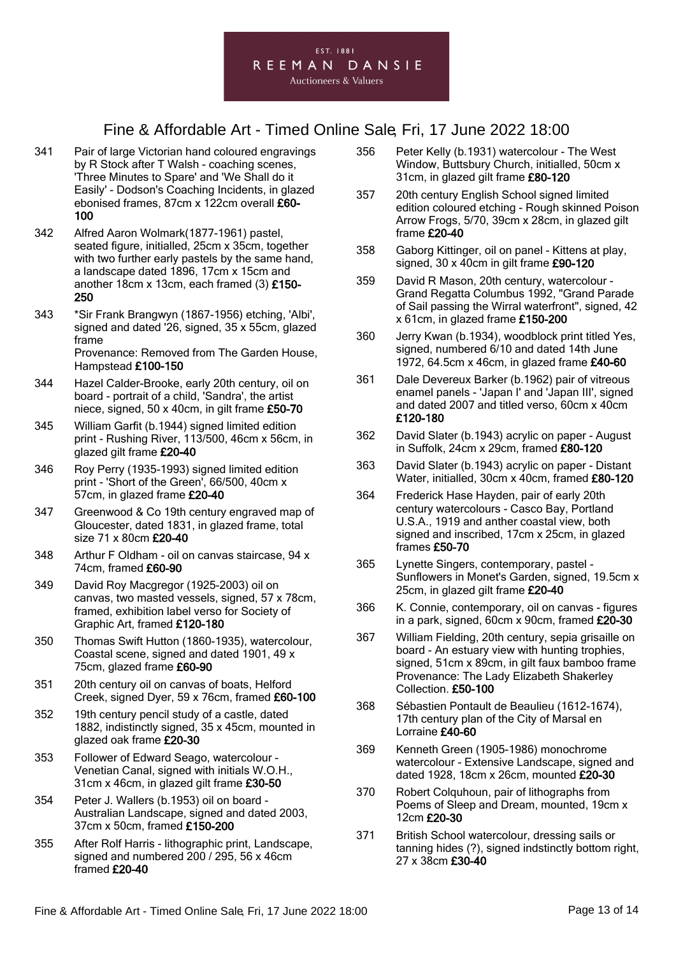

- 341 Pair of large Victorian hand coloured engravings by R Stock after T Walsh - coaching scenes, 'Three Minutes to Spare' and 'We Shall do it Easily' - Dodson's Coaching Incidents, in glazed ebonised frames, 87cm x 122cm overall £60- 100
- 342 Alfred Aaron Wolmark(1877-1961) pastel, seated figure, initialled, 25cm x 35cm, together with two further early pastels by the same hand, a landscape dated 1896, 17cm x 15cm and another 18cm x 13cm, each framed (3) £150- 250
- 343 \*Sir Frank Brangwyn (1867-1956) etching, 'Albi', signed and dated '26, signed, 35 x 55cm, glazed frame Provenance: Removed from The Garden House, Hampstead £100-150
- 344 Hazel Calder-Brooke, early 20th century, oil on board - portrait of a child, 'Sandra', the artist niece, signed, 50 x 40cm, in gilt frame £50-70
- 345 William Garfit (b.1944) signed limited edition print - Rushing River, 113/500, 46cm x 56cm, in glazed gilt frame £20-40
- 346 Roy Perry (1935-1993) signed limited edition print - 'Short of the Green', 66/500, 40cm x 57cm, in glazed frame £20-40
- 347 Greenwood & Co 19th century engraved map of Gloucester, dated 1831, in glazed frame, total size 71 x 80cm £20-40
- 348 Arthur F Oldham oil on canvas staircase, 94 x 74cm, framed £60-90
- 349 David Roy Macgregor (1925-2003) oil on canvas, two masted vessels, signed, 57 x 78cm, framed, exhibition label verso for Society of Graphic Art, framed £120-180
- 350 Thomas Swift Hutton (1860-1935), watercolour, Coastal scene, signed and dated 1901, 49 x 75cm, glazed frame £60-90
- 351 20th century oil on canvas of boats, Helford Creek, signed Dyer, 59 x 76cm, framed £60-100
- 352 19th century pencil study of a castle, dated 1882, indistinctly signed, 35 x 45cm, mounted in glazed oak frame £20-30
- 353 Follower of Edward Seago, watercolour Venetian Canal, signed with initials W.O.H., 31cm x 46cm, in glazed gilt frame £30-50
- 354 Peter J. Wallers (b.1953) oil on board Australian Landscape, signed and dated 2003, 37cm x 50cm, framed £150-200
- 355 After Rolf Harris lithographic print, Landscape, signed and numbered 200 / 295, 56 x 46cm framed £20-40
- 356 Peter Kelly (b.1931) watercolour The West Window, Buttsbury Church, initialled, 50cm x 31cm, in glazed gilt frame £80-120
- 357 20th century English School signed limited edition coloured etching - Rough skinned Poison Arrow Frogs, 5/70, 39cm x 28cm, in glazed gilt frame £20-40
- 358 Gaborg Kittinger, oil on panel Kittens at play, signed, 30 x 40cm in gilt frame £90-120
- 359 David R Mason, 20th century, watercolour Grand Regatta Columbus 1992, "Grand Parade of Sail passing the Wirral waterfront", signed, 42 x 61cm, in glazed frame £150-200
- 360 Jerry Kwan (b.1934), woodblock print titled Yes, signed, numbered 6/10 and dated 14th June 1972, 64.5cm x 46cm, in glazed frame £40-60
- 361 Dale Devereux Barker (b.1962) pair of vitreous enamel panels - 'Japan I' and 'Japan III', signed and dated 2007 and titled verso, 60cm x 40cm £120-180
- 362 David Slater (b.1943) acrylic on paper August in Suffolk, 24cm x 29cm, framed £80-120
- 363 David Slater (b.1943) acrylic on paper Distant Water, initialled, 30cm x 40cm, framed £80-120
- 364 Frederick Hase Hayden, pair of early 20th century watercolours - Casco Bay, Portland U.S.A., 1919 and anther coastal view, both signed and inscribed, 17cm x 25cm, in glazed frames £50-70
- 365 Lynette Singers, contemporary, pastel Sunflowers in Monet's Garden, signed, 19.5cm x 25cm, in glazed gilt frame £20-40
- 366 K. Connie, contemporary, oil on canvas figures in a park, signed, 60cm x 90cm, framed £20-30
- 367 William Fielding, 20th century, sepia grisaille on board - An estuary view with hunting trophies, signed, 51cm x 89cm, in gilt faux bamboo frame Provenance: The Lady Elizabeth Shakerley Collection. £50-100
- 368 Sébastien Pontault de Beaulieu (1612-1674), 17th century plan of the City of Marsal en Lorraine £40-60
- 369 Kenneth Green (1905-1986) monochrome watercolour - Extensive Landscape, signed and dated 1928, 18cm x 26cm, mounted £20-30
- 370 Robert Colquhoun, pair of lithographs from Poems of Sleep and Dream, mounted, 19cm x 12cm £20-30
- 371 British School watercolour, dressing sails or tanning hides (?), signed indstinctly bottom right, 27 x 38cm £30-40